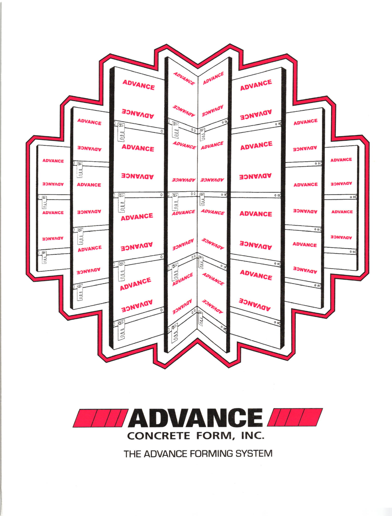



THE ADVANCE FORMING SYSTEM